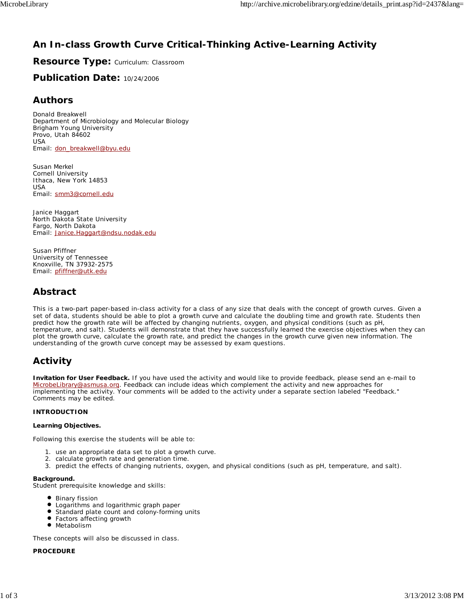## **An In-class Growth Curve Critical-Thinking Active-Learning Activity**

**Resource Type:** Curriculum: Classroom

**Publication Date:** 10/24/2006

### **Authors**

*Donald Breakwell* Department of Microbiology and Molecular Biology Brigham Young University Provo, Utah 84602 USA Email: don\_breakwell@byu.edu

*Susan Merkel* Cornell University Ithaca, New York 14853 USA Email: smm3@cornell.edu

*Janice Haggart* North Dakota State University Fargo, North Dakota Email: Janice.Haggart@ndsu.nodak.edu

*Susan Pfiffner* University of Tennessee Knoxville, TN 37932-2575 Email: pfiffner@utk.edu

## **Abstract**

This is a two-part paper-based in-class activity for a class of any size that deals with the concept of growth curves. Given a set of data, students should be able to plot a growth curve and calculate the doubling time and growth rate. Students then predict how the growth rate will be affected by changing nutrients, oxygen, and physical conditions (such as pH, temperature, and salt). Students will demonstrate that they have successfully learned the exercise objectives when they can plot the growth curve, calculate the growth rate, and predict the changes in the growth curve given new information. The understanding of the growth curve concept may be assessed by exam questions.

## **Activity**

**Invitation for User Feedback.** If you have used the activity and would like to provide feedback, please send an e-mail to MicrobeLibrary@asmusa.org. Feedback can include ideas which complement the activity and new approaches for implementing the activity. Your comments will be added to the activity under a separate section labeled "Feedback." Comments may be edited.

### **INTRODUCTION**

#### **Learning Objectives.**

Following this exercise the students will be able to:

- 1. use an appropriate data set to plot a growth curve.
- 2. calculate growth rate and generation time.
- 3. predict the effects of changing nutrients, oxygen, and physical conditions (such as pH, temperature, and salt).

### **Background.**

Student prerequisite knowledge and skills:

- **Binary fission**
- Logarithms and logarithmic graph paper
- $\bullet$ Standard plate count and colony-forming units
- Factors affecting growth
- **•** Metabolism

These concepts will also be discussed in class.

### **PROCEDURE**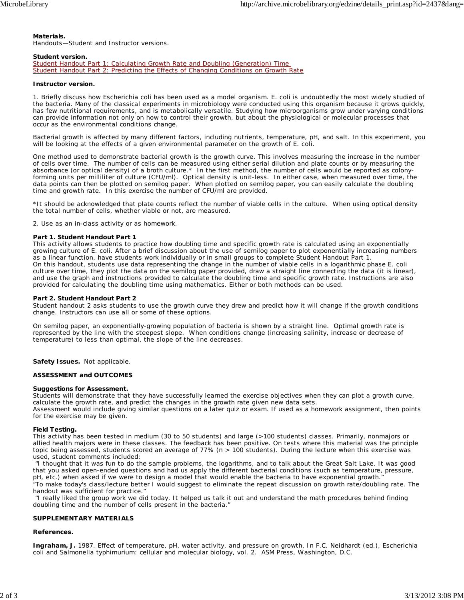#### **Materials.**

Handouts—Student and Instructor versions.

#### **Student version.**

Student Handout Part 1: Calculating Growth Rate and Doubling (Generation) Time Student Handout Part 2: Predicting the Effects of Changing Conditions on Growth Rate

#### **Instructor version.**

1. Briefly discuss how *Escherichia coli* has been used as a model organism. *E. coli* is undoubtedly the most widely studied of the bacteria. Many of the classical experiments in microbiology were conducted using this organism because it grows quickly, has few nutritional requirements, and is metabolically versatile. Studying how microorganisms grow under varying conditions can provide information not only on how to control their growth, but about the physiological or molecular processes that occur as the environmental conditions change.

Bacterial growth is affected by many different factors, including nutrients, temperature, pH, and salt. In this experiment, you will be looking at the effects of a given environmental parameter on the growth of *E. coli.*

One method used to demonstrate bacterial growth is the growth curve. This involves measuring the increase in the number of cells over time. The number of cells can be measured using either serial dilution and plate counts or by measuring the absorbance (or optical density) of a broth culture.\* In the first method, the number of cells would be reported as colonyforming units per milliliter of culture (CFU/ml). Optical density is unit-less. In either case, when measured over time, the data points can then be plotted on semilog paper. When plotted on semilog paper, you can easily calculate the doubling time and growth rate. In this exercise the number of CFU/ml are provided.

\*It should be acknowledged that plate counts reflect the number of viable cells in the culture. When using optical density the total number of cells, whether viable or not, are measured.

2. Use as an in-class activity or as homework.

#### **Part 1. Student Handout Part 1**

This activity allows students to practice how doubling time and specific growth rate is calculated using an exponentially growing culture of *E. coli.* After a brief discussion about the use of semilog paper to plot exponentially increasing numbers as a linear function, have students work individually or in small groups to complete Student Handout Part 1. On this handout, students use data representing the change in the number of viable cells in a logarithmic phase *E. coli* culture over time, they plot the data on the semilog paper provided, draw a straight line connecting the data (it is linear), and use the graph and instructions provided to calculate the doubling time and specific growth rate. Instructions are also provided for calculating the doubling time using mathematics. Either or both methods can be used.

#### **Part 2. Student Handout Part 2**

Student handout 2 asks students to use the growth curve they drew and predict how it will change if the growth conditions change. Instructors can use all or some of these options.

On semilog paper, an exponentially-growing population of bacteria is shown by a straight line. Optimal growth rate is represented by the line with the steepest slope. When conditions change (increasing salinity, increase or decrease of temperature) to less than optimal, the slope of the line decreases.

**Safety Issues.** Not applicable.

#### **ASSESSMENT and OUTCOMES**

#### **Suggestions for Assessment.**

Students will demonstrate that they have successfully learned the exercise objectives when they can plot a growth curve, calculate the growth rate, and predict the changes in the growth rate given new data sets.

Assessment would include giving similar questions on a later quiz or exam. If used as a homework assignment, then points for the exercise may be given.

#### **Field Testing.**

This activity has been tested in medium (30 to 50 students) and large (>100 students) classes. Primarily, nonmajors or allied health majors were in these classes. The feedback has been positive. On tests where this material was the principle topic being assessed, students scored an average of 77% (n > 100 students). During the lecture when this exercise was used, student comments included:

 "I thought that it was fun to do the sample problems, the logarithms, and to talk about the Great Salt Lake. It was good that you asked open-ended questions and had us apply the different bacterial conditions (such as temperature, pressure, pH, etc.) when asked if we were to design a model that would enable the bacteria to have exponential growth."

"To make today's class/lecture better I would suggest to eliminate the repeat discussion on growth rate/doubling rate. The handout was sufficient for practice."

 "I really liked the group work we did today. It helped us talk it out and understand the math procedures behind finding doubling time and the number of cells present in the bacteria."

#### **SUPPLEMENTARY MATERIALS**

#### **References.**

**Ingraham, J.** 1987. Effect of temperature, pH, water activity, and pressure on growth. *In* F.C. Neidhardt (ed.), *Escherichia coli* and *Salmonella typhimurium*: cellular and molecular biology, vol. 2. ASM Press, Washington, D.C.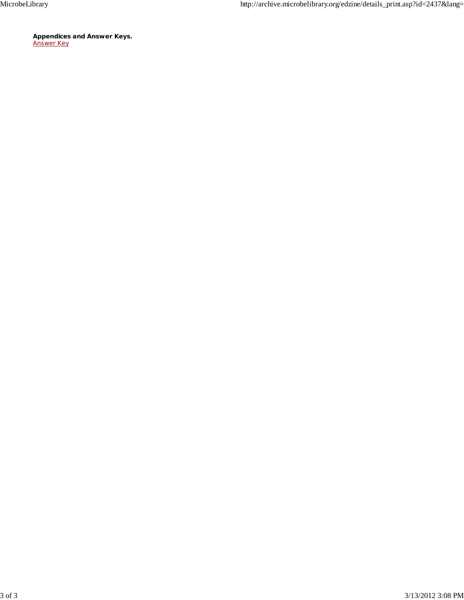**Appendices and Answer Keys.** Answer Key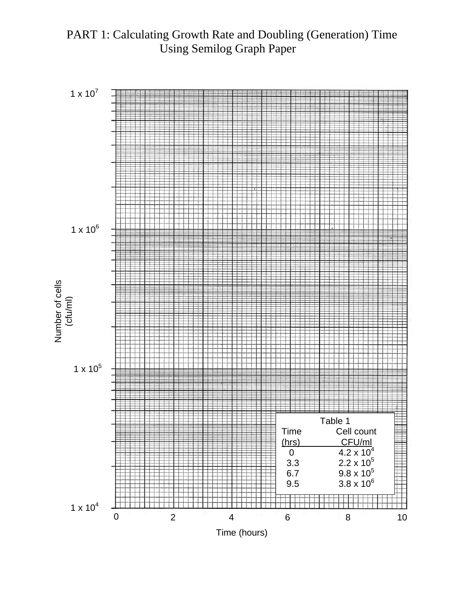# PART 1: Calculating Growth Rate and Doubling (Generation) Time Using Semilog Graph Paper

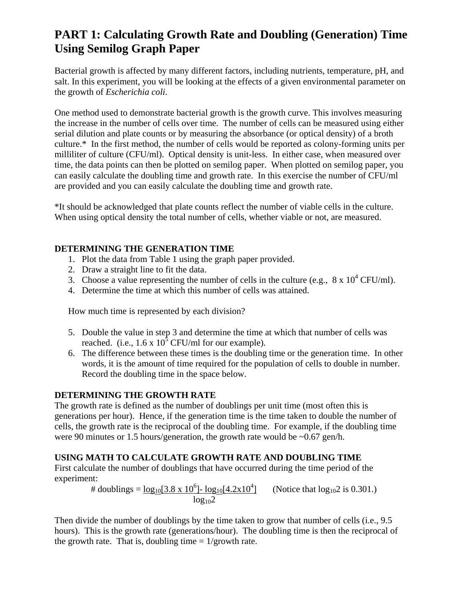# **PART 1: Calculating Growth Rate and Doubling (Generation) Time Using Semilog Graph Paper**

Bacterial growth is affected by many different factors, including nutrients, temperature, pH, and salt. In this experiment, you will be looking at the effects of a given environmental parameter on the growth of *Escherichia coli*.

One method used to demonstrate bacterial growth is the growth curve. This involves measuring the increase in the number of cells over time. The number of cells can be measured using either serial dilution and plate counts or by measuring the absorbance (or optical density) of a broth culture.\* In the first method, the number of cells would be reported as colony-forming units per milliliter of culture (CFU/ml). Optical density is unit-less. In either case, when measured over time, the data points can then be plotted on semilog paper. When plotted on semilog paper, you can easily calculate the doubling time and growth rate. In this exercise the number of CFU/ml are provided and you can easily calculate the doubling time and growth rate.

\*It should be acknowledged that plate counts reflect the number of viable cells in the culture. When using optical density the total number of cells, whether viable or not, are measured.

### **DETERMINING THE GENERATION TIME**

- 1. Plot the data from Table 1 using the graph paper provided.
- 2. Draw a straight line to fit the data.
- 3. Choose a value representing the number of cells in the culture (e.g.,  $8 \times 10^4$  CFU/ml).
- 4. Determine the time at which this number of cells was attained.

How much time is represented by each division?

- 5. Double the value in step 3 and determine the time at which that number of cells was reached. (i.e.,  $1.6 \times 10^5$  CFU/ml for our example).
- 6. The difference between these times is the doubling time or the generation time. In other words, it is the amount of time required for the population of cells to double in number. Record the doubling time in the space below.

### **DETERMINING THE GROWTH RATE**

The growth rate is defined as the number of doublings per unit time (most often this is generations per hour). Hence, if the generation time is the time taken to double the number of cells, the growth rate is the reciprocal of the doubling time. For example, if the doubling time were 90 minutes or 1.5 hours/generation, the growth rate would be ~0.67 gen/h.

### **USING MATH TO CALCULATE GROWTH RATE AND DOUBLING TIME**

First calculate the number of doublings that have occurred during the time period of the experiment:

# doublings =  $\log_{10}[3.8 \times 10^6]$ -  $\log_{10}[4.2 \times 10^4]$ (Notice that  $log_{10}2$  is 0.301.)  $log_{10}2$ 

Then divide the number of doublings by the time taken to grow that number of cells (i.e., 9.5) hours). This is the growth rate (generations/hour). The doubling time is then the reciprocal of the growth rate. That is, doubling time  $= 1/\text{growth rate}$ .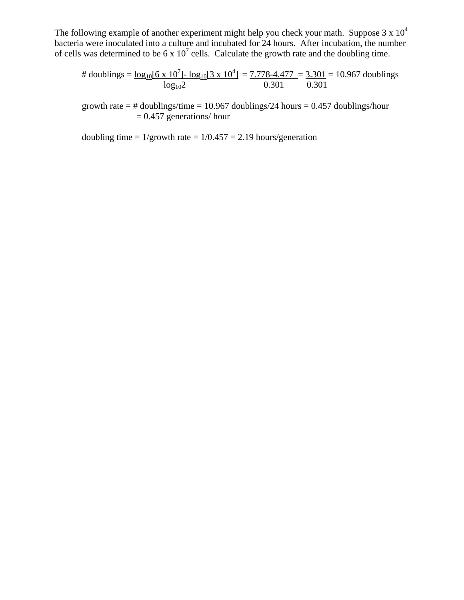The following example of another experiment might help you check your math. Suppose  $3 \times 10^4$ bacteria were inoculated into a culture and incubated for 24 hours. After incubation, the number of cells was determined to be 6 x  $10^7$  cells. Calculate the growth rate and the doubling time.

$$
\text{\# doublings} = \frac{\log_{10}[6 \times 10^7] - \log_{10}[3 \times 10^4]}{\log_{10} 2} = \frac{7.778 - 4.477}{0.301} = \frac{3.301}{0.301} = 10.967 \text{ doublings}
$$

growth rate = # doublings/time = 10.967 doublings/24 hours =  $0.457$  doublings/hour  $= 0.457$  generations/ hour

doubling time =  $1/\text{growth rate} = 1/0.457 = 2.19$  hours/generation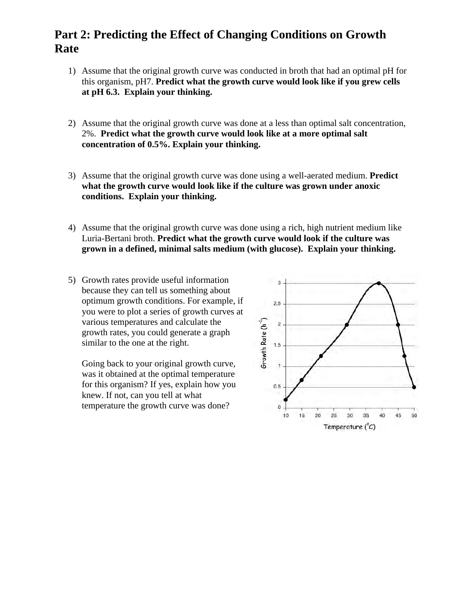# **Part 2: Predicting the Effect of Changing Conditions on Growth Rate**

- 1) Assume that the original growth curve was conducted in broth that had an optimal pH for this organism, pH7. **Predict what the growth curve would look like if you grew cells at pH 6.3. Explain your thinking.**
- 2) Assume that the original growth curve was done at a less than optimal salt concentration, 2%. **Predict what the growth curve would look like at a more optimal salt concentration of 0.5%. Explain your thinking.**
- 3) Assume that the original growth curve was done using a well-aerated medium. **Predict what the growth curve would look like if the culture was grown under anoxic conditions. Explain your thinking.**
- 4) Assume that the original growth curve was done using a rich, high nutrient medium like Luria-Bertani broth. **Predict what the growth curve would look if the culture was grown in a defined, minimal salts medium (with glucose). Explain your thinking.**
- 5) Growth rates provide useful information because they can tell us something about optimum growth conditions. For example, if you were to plot a series of growth curves at various temperatures and calculate the growth rates, you could generate a graph similar to the one at the right.

Going back to your original growth curve, was it obtained at the optimal temperature for this organism? If yes, explain how you knew. If not, can you tell at what temperature the growth curve was done?

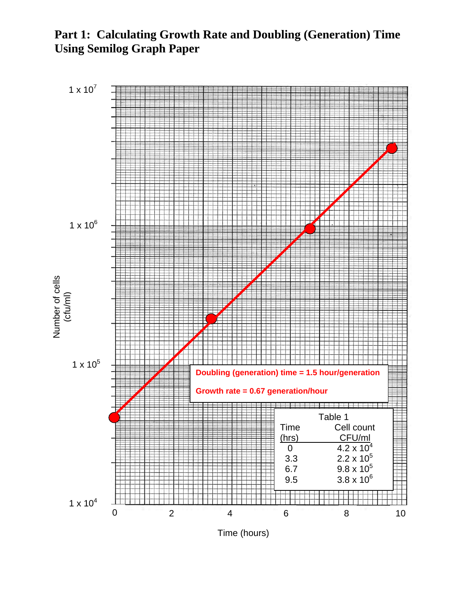**Part 1: Calculating Growth Rate and Doubling (Generation) Time Using Semilog Graph Paper**



Time (hours)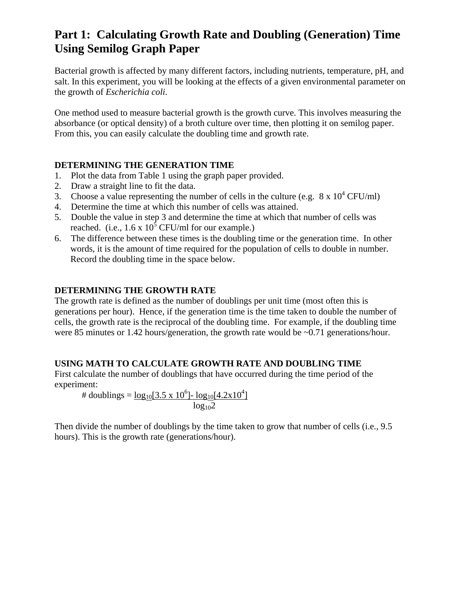# **Part 1: Calculating Growth Rate and Doubling (Generation) Time Using Semilog Graph Paper**

Bacterial growth is affected by many different factors, including nutrients, temperature, pH, and salt. In this experiment, you will be looking at the effects of a given environmental parameter on the growth of *Escherichia coli*.

One method used to measure bacterial growth is the growth curve. This involves measuring the absorbance (or optical density) of a broth culture over time, then plotting it on semilog paper. From this, you can easily calculate the doubling time and growth rate.

### **DETERMINING THE GENERATION TIME**

- 1. Plot the data from Table 1 using the graph paper provided.
- 2. Draw a straight line to fit the data.
- 3. Choose a value representing the number of cells in the culture (e.g.  $8 \times 10^4$  CFU/ml)
- 4. Determine the time at which this number of cells was attained.
- 5. Double the value in step 3 and determine the time at which that number of cells was reached. (i.e.,  $1.6 \times 10^5$  CFU/ml for our example.)
- 6. The difference between these times is the doubling time or the generation time. In other words, it is the amount of time required for the population of cells to double in number. Record the doubling time in the space below.

### **DETERMINING THE GROWTH RATE**

The growth rate is defined as the number of doublings per unit time (most often this is generations per hour). Hence, if the generation time is the time taken to double the number of cells, the growth rate is the reciprocal of the doubling time. For example, if the doubling time were 85 minutes or 1.42 hours/generation, the growth rate would be  $\sim 0.71$  generations/hour.

### **USING MATH TO CALCULATE GROWTH RATE AND DOUBLING TIME**

First calculate the number of doublings that have occurred during the time period of the experiment:

# doublings =  $\underline{\log_{10}}[3.5 \times 10^6]$ -  $\underline{\log_{10}}[4.2 \times 10^4]$  $log_{10}2$ 

Then divide the number of doublings by the time taken to grow that number of cells (i.e., 9.5 hours). This is the growth rate (generations/hour).